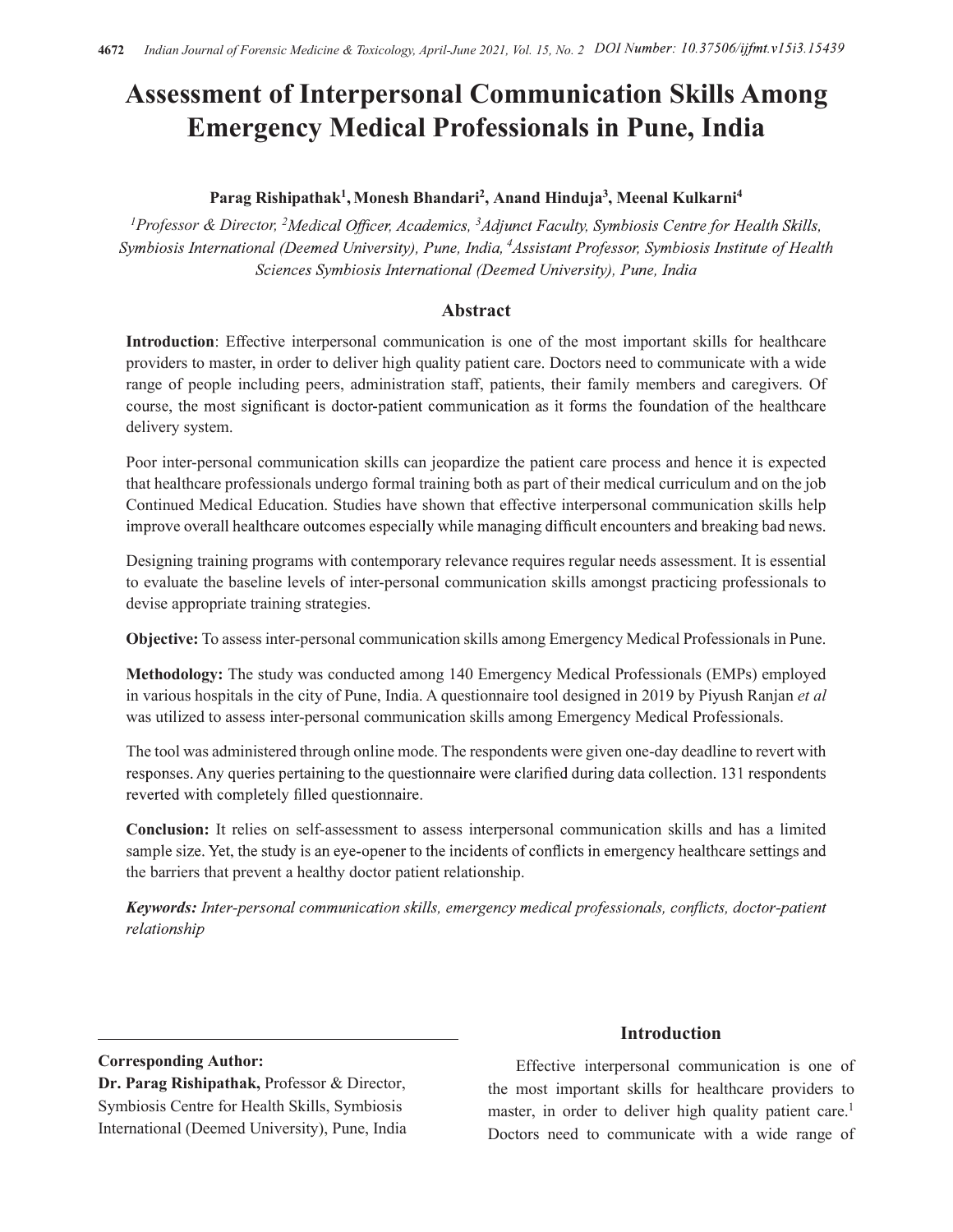# Assessment of Interpersonal Communication Skills Among Emergency Medical Professionals in Pune, India

# Parag Rishipathak<sup>1</sup>, Monesh Bhandari<sup>2</sup>, Anand Hinduja<sup>3</sup>, Meenal Kulkarni<sup>4</sup>

<sup>1</sup>Professor & Director, <sup>2</sup>Medical Officer, Academics, <sup>3</sup>Adjunct Faculty, Symbiosis Centre for Health Skills, Symbiosis International (Deemed University), Pune, India, <sup>4</sup>Assistant Professor, Symbiosis Institute of Health Sciences Symbiosis International (Deemed University), Pune, India

# Abstract

Introduction: Effective interpersonal communication is one of the most important skills for healthcare providers to master, in order to deliver high quality patient care. Doctors need to communicate with a wide range of people including peers, administration staff, patients, their family members and caregivers. Of course, the most significant is doctor-patient communication as it forms the foundation of the healthcare delivery system.

Poor inter-personal communication skills can jeopardize the patient care process and hence it is expected that healthcare professionals undergo formal training both as part of their medical curriculum and on the job Continued Medical Education. Studies have shown that effective interpersonal communication skills help improve overall healthcare outcomes especially while managing difficult encounters and breaking bad news.

Designing training programs with contemporary relevance requires regular needs assessment. It is essential to evaluate the baseline levels of inter-personal communication skills amongst practicing professionals to devise appropriate training strategies.

Objective: To assess inter-personal communication skills among Emergency Medical Professionals in Pune.

Methodology: The study was conducted among 140 Emergency Medical Professionals (EMPs) employed in various hospitals in the city of Pune, India. A questionnaire tool designed in 2019 by Piyush Ranjan et al was utilized to assess inter-personal communication skills among Emergency Medical Professionals.

The tool was administered through online mode. The respondents were given one-day deadline to revert with responses. Any queries pertaining to the questionnaire were clarified during data collection. 131 respondents reverted with completely filled questionnaire.

Conclusion: It relies on self-assessment to assess interpersonal communication skills and has a limited sample size. Yet, the study is an eye-opener to the incidents of conflicts in emergency healthcare settings and the barriers that prevent a healthy doctor patient relationship.

**Keywords:** Inter-personal communication skills, emergency medical professionals, conflicts, doctor-patient relationship

Corresponding Author:

Dr. Parag Rishipathak, Professor & Director, Symbiosis Centre for Health Skills, Symbiosis International (Deemed University), Pune, India

# Introduction

Effective interpersonal communication is one of the most important skills for healthcare providers to master, in order to deliver high quality patient care.<sup>1</sup> Doctors need to communicate with a wide range of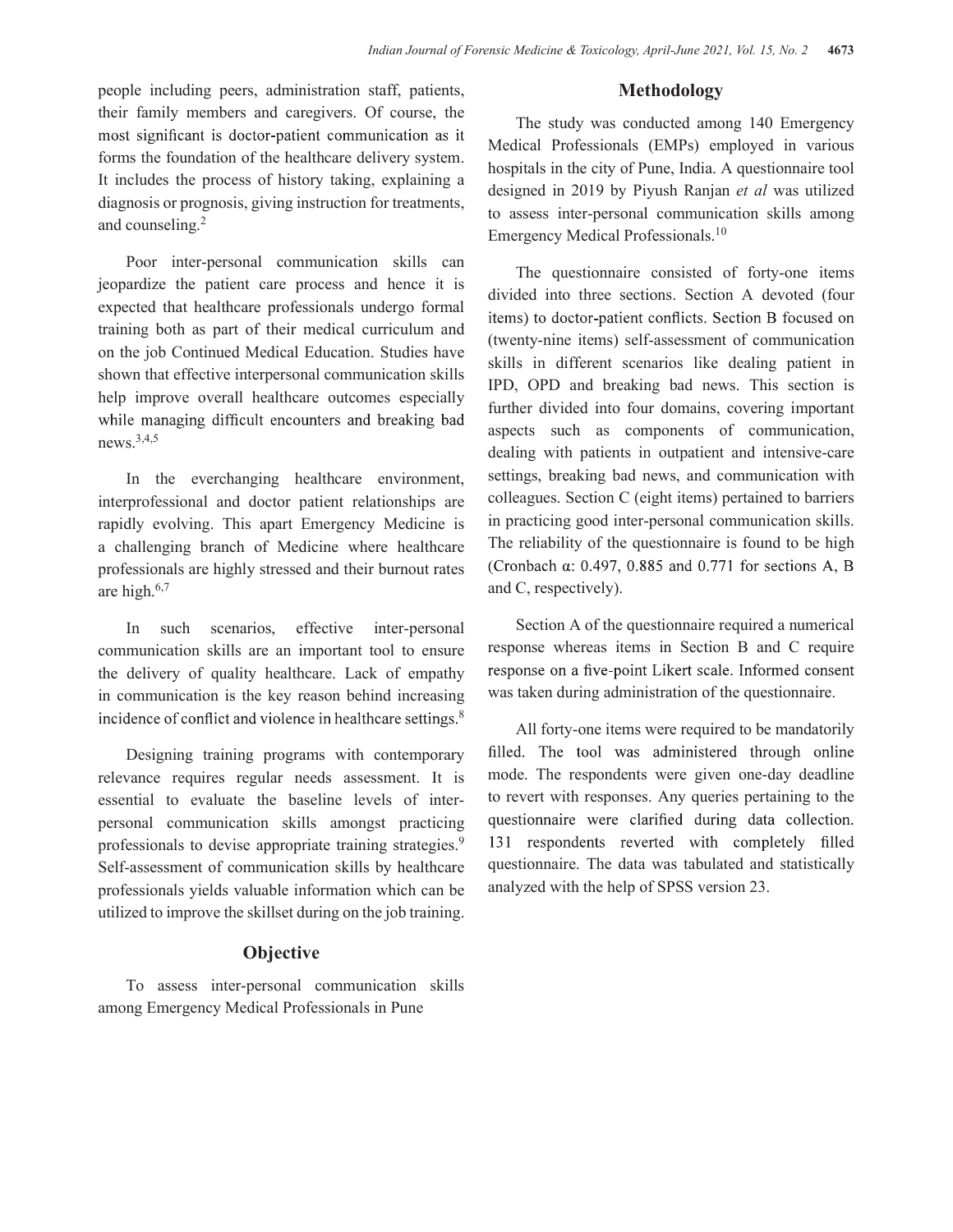people including peers, administration staff, patients, their family members and caregivers. Of course, the most significant is doctor-patient communication as it forms the foundation of the healthcare delivery system. It includes the process of history taking, explaining a diagnosis or prognosis, giving instruction for treatments, and counseling.2

Poor inter-personal communication skills can jeopardize the patient care process and hence it is expected that healthcare professionals undergo formal items) to doctor-patient conflicts. Section B focused on training both as part of their medical curriculum and on the job Continued Medical Education. Studies have shown that effective interpersonal communication skills help improve overall healthcare outcomes especially while managing difficult encounters and breaking bad news.3,4,5

In the everchanging healthcare environment, interprofessional and doctor patient relationships are rapidly evolving. This apart Emergency Medicine is a challenging branch of Medicine where healthcare professionals are highly stressed and their burnout rates (Cronbach  $\alpha$ : 0.497, 0.885 and 0.771 for sections A, B are high.6,7

In such scenarios, effective inter-personal communication skills are an important tool to ensure the delivery of quality healthcare. Lack of empathy response on a five-point Likert scale. Informed consent in communication is the key reason behind increasing 8

relevance requires regular needs assessment. It is essential to evaluate the baseline levels of interpersonal communication skills amongst practicing questionnaire were clarified during data collection. professionals to devise appropriate training strategies.<sup>9</sup> 131 respondents reverted with completely filled Self-assessment of communication skills by healthcare professionals yields valuable information which can be utilized to improve the skillset during on the job training.

# **Objective**

To assess inter-personal communication skills among Emergency Medical Professionals in Pune

#### Methodology

The study was conducted among 140 Emergency Medical Professionals (EMPs) employed in various hospitals in the city of Pune, India. A questionnaire tool designed in 2019 by Piyush Ranjan et al was utilized to assess inter-personal communication skills among Emergency Medical Professionals.10

The questionnaire consisted of forty-one items divided into three sections. Section A devoted (four (twenty-nine items) self-assessment of communication skills in different scenarios like dealing patient in IPD, OPD and breaking bad news. This section is further divided into four domains, covering important aspects such as components of communication, dealing with patients in outpatient and intensive-care settings, breaking bad news, and communication with colleagues. Section C (eight items) pertained to barriers in practicing good inter-personal communication skills. The reliability of the questionnaire is found to be high and C, respectively).

Section A of the questionnaire required a numerical response whereas items in Section B and C require was taken during administration of the questionnaire.

Designing training programs with contemporary filled. The tool was administered through online All forty-one items were required to be mandatorily mode. The respondents were given one-day deadline to revert with responses. Any queries pertaining to the questionnaire. The data was tabulated and statistically analyzed with the help of SPSS version 23.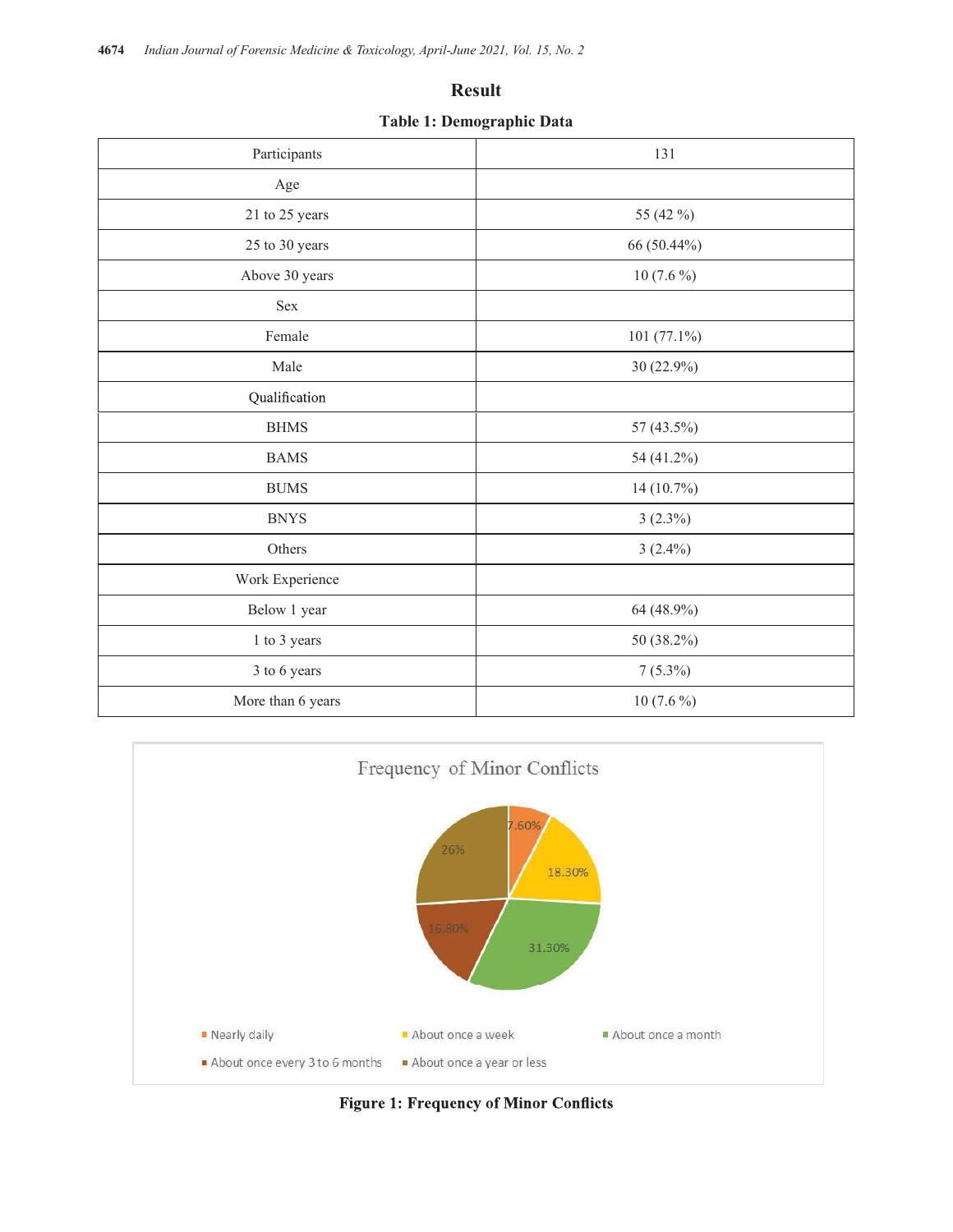### Result

Table 1: Demographic Data

| <b>Result</b><br>Table 1: Demographic Data |                |
|--------------------------------------------|----------------|
| Participants                               | 131            |
| Age                                        |                |
| $21$ to $25$ years                         | 55 (42 %)      |
| 25 to 30 years                             | 66 (50.44%)    |
| Above 30 years                             | 10 $(7.6\%)$   |
| Sex                                        |                |
| Female                                     | 101 $(77.1\%)$ |
| Male                                       | 30 (22.9%)     |
| Qualification                              |                |
| $\operatorname{BHMS}$                      | 57 (43.5%)     |
| <b>BAMS</b>                                | 54 (41.2%)     |
| $\rm BUMS$                                 | $14(10.7\%)$   |
| <b>BNYS</b>                                | $3(2.3\%)$     |
| Others                                     | $3(2.4\%)$     |
| Work Experience                            |                |
| Below 1 year                               | 64 (48.9%)     |
| 1 to 3 years                               | 50 (38.2%)     |
| 3 to 6 years                               | $7(5.3\%)$     |
| More than 6 years                          | $10(7.6\%)$    |



**Figure 1: Frequency of Minor Conflicts**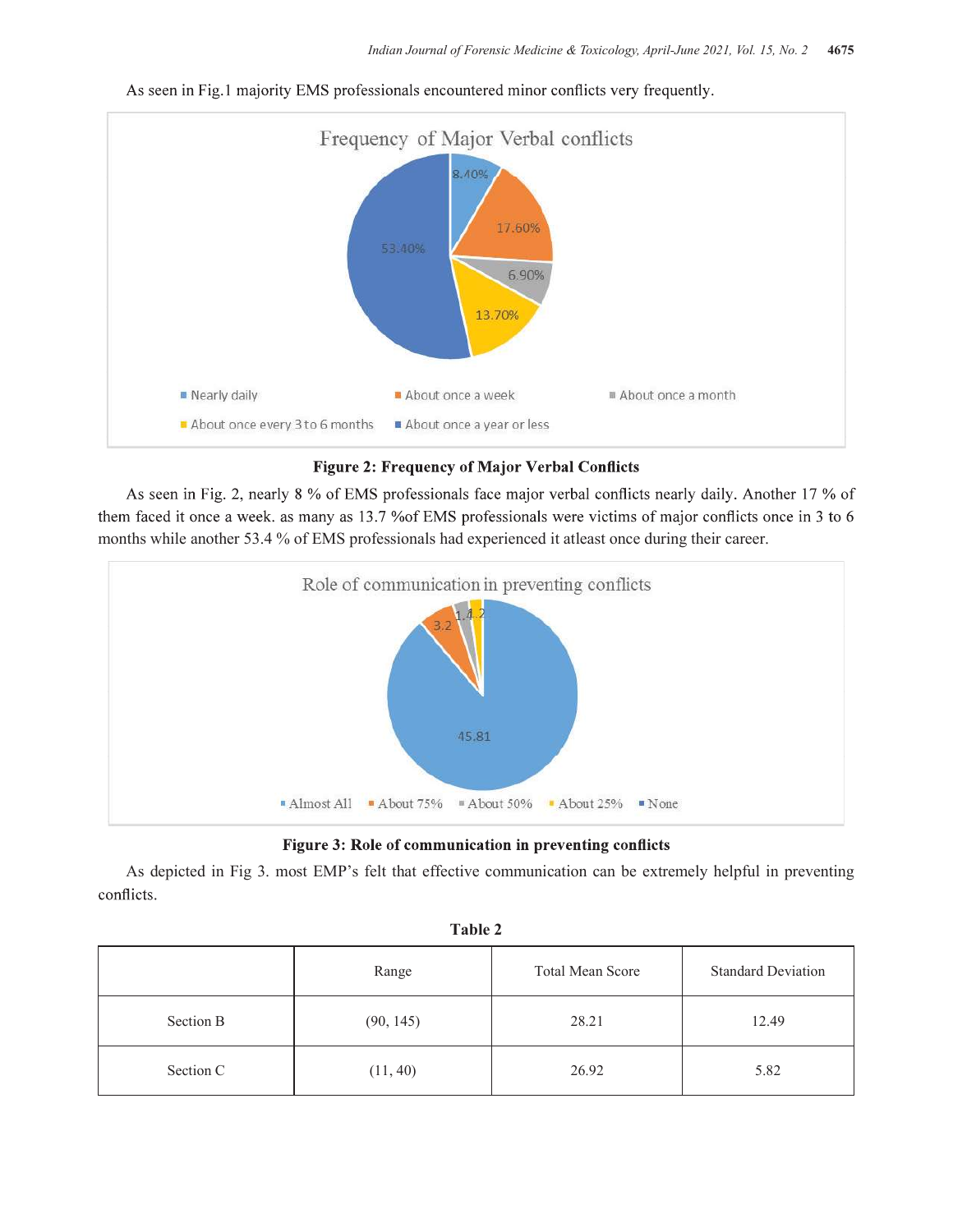

As seen in Fig.1 majority EMS professionals encountered minor conflicts very frequently.

### **Figure 2: Frequency of Major Verbal Conflicts**

As seen in Fig. 2, nearly 8 % of EMS professionals face major verbal conflicts nearly daily. Another 17 % of them faced it once a week. as many as 13.7 % of EMS professionals were victims of major conflicts once in 3 to 6 months while another 53.4 % of EMS professionals had experienced it atleast once during their career.



As depicted in Fig 3. most EMP's felt that effective communication can be extremely helpful in preventing conflicts.

|           | Range     | Total Mean Score | <b>Standard Deviation</b> |
|-----------|-----------|------------------|---------------------------|
| Section B | (90, 145) | 28.21            | 12.49                     |
| Section C | (11, 40)  | 26.92            | 5.82                      |

| Table 2 |  |
|---------|--|
|---------|--|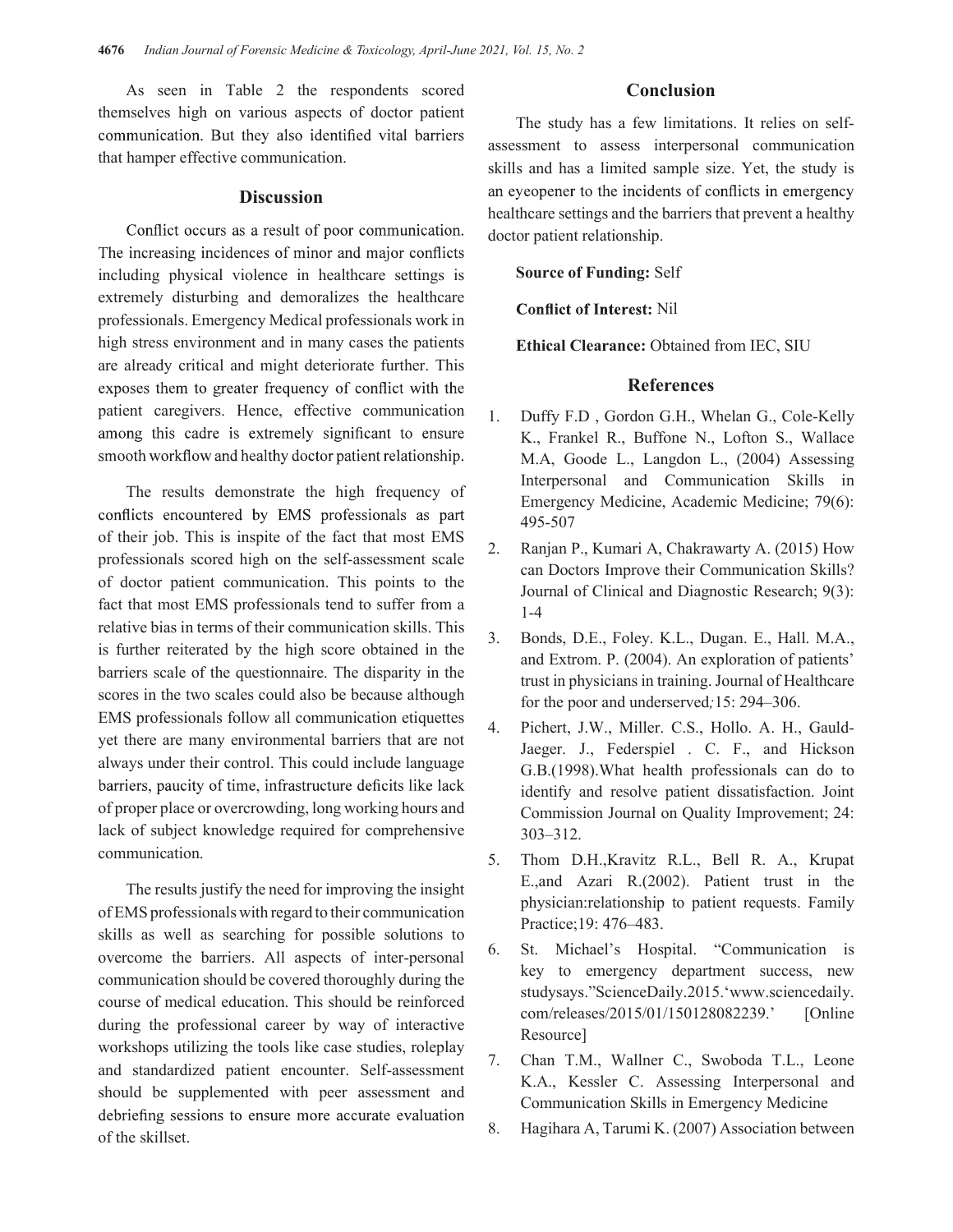As seen in Table 2 the respondents scored themselves high on various aspects of doctor patient communication. But they also identified vital barriers that hamper effective communication.

Conflict occurs as a result of poor communication. The increasing incidences of minor and major conflicts including physical violence in healthcare settings is extremely disturbing and demoralizes the healthcare professionals. Emergency Medical professionals work in high stress environment and in many cases the patients are already critical and might deteriorate further. This exposes them to greater frequency of conflict with the patient caregivers. Hence, effective communication 1 among this cadre is extremely significant to ensure smooth workflow and healthy doctor patient relationship.

The results demonstrate the high frequency of conflicts encountered by EMS professionals as part of their job. This is inspite of the fact that most  $EMS = 2$ . professionals scored high on the self-assessment scale of doctor patient communication. This points to the fact that most EMS professionals tend to suffer from a relative bias in terms of their communication skills. This  $\frac{3}{2}$ is further reiterated by the high score obtained in the barriers scale of the questionnaire. The disparity in the scores in the two scales could also be because although EMS professionals follow all communication etiquettes  $\frac{4}{1}$ yet there are many environmental barriers that are not always under their control. This could include language barriers, paucity of time, infrastructure deficits like lack of proper place or overcrowding, long working hours and lack of subject knowledge required for comprehensive communication.

The results justify the need for improving the insight of EMS professionals with regard to their communication skills as well as searching for possible solutions to<br>successors the herriers All sepects of inter personal 6. overcome the barriers. All aspects of inter-personal communication should be covered thoroughly during the course of medical education. This should be reinforced during the professional career by way of interactive workshops utilizing the tools like case studies, roleplay 7. and standardized patient encounter. Self-assessment should be supplemented with peer assessment and debriefing sessions to ensure more accurate evaluation of the skillset.

#### Conclusion

**Discussion** an eyeopener to the incidents of conflicts in emergency The study has a few limitations. It relies on selfassessment to assess interpersonal communication skills and has a limited sample size. Yet, the study is healthcare settings and the barriers that prevent a healthy doctor patient relationship.

Source of Funding: Self

**Conflict of Interest: Nil** 

Ethical Clearance: Obtained from IEC, SIU

## References

- Duffy F.D, Gordon G.H., Whelan G., Cole-Kelly K., Frankel R., Buffone N., Lofton S., Wallace M.A, Goode L., Langdon L., (2004) Assessing Interpersonal and Communication Skills in Emergency Medicine, Academic Medicine; 79(6): 495-507
- 2. Ranjan P., Kumari A, Chakrawarty A. (2015) How can Doctors Improve their Communication Skills? Journal of Clinical and Diagnostic Research; 9(3): 1-4
- 3. Bonds, D.E., Foley. K.L., Dugan. E., Hall. M.A., and Extrom. P. (2004). An exploration of patients' trust in physicians in training. Journal of Healthcare for the poor and underserved;15: 294–306.
- Pichert, J.W., Miller. C.S., Hollo. A. H., Gauld-Jaeger. J., Federspiel . C. F., and Hickson G.B.(1998).What health professionals can do to identify and resolve patient dissatisfaction. Joint Commission Journal on Quality Improvement; 24: 303–312.
- 5. Thom D.H.,Kravitz R.L., Bell R. A., Krupat E.,and Azari R.(2002). Patient trust in the physician:relationship to patient requests. Family Practice;19: 476–483.
- 6. St. Michael's Hospital. "Communication is key to emergency department success, new studysays."ScienceDaily.2015.'www.sciencedaily. com/releases/2015/01/150128082239.' [Online Resource]
- 7. Chan T.M., Wallner C., Swoboda T.L., Leone K.A., Kessler C. Assessing Interpersonal and Communication Skills in Emergency Medicine
- 8. Hagihara A, Tarumi K. (2007) Association between